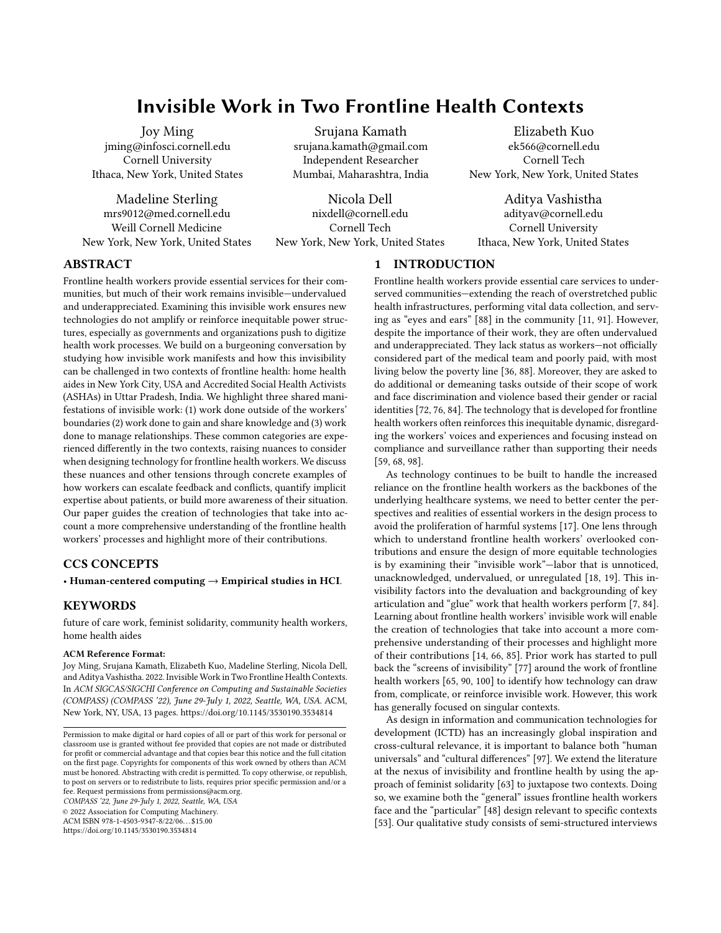# Invisible Work in Two Frontline Health Contexts

Joy Ming jming@infosci.cornell.edu Cornell University Ithaca, New York, United States

Madeline Sterling mrs9012@med.cornell.edu Weill Cornell Medicine New York, New York, United States

Srujana Kamath srujana.kamath@gmail.com Independent Researcher Mumbai, Maharashtra, India

Nicola Dell nixdell@cornell.edu Cornell Tech New York, New York, United States

Elizabeth Kuo ek566@cornell.edu Cornell Tech New York, New York, United States

Aditya Vashistha adityav@cornell.edu Cornell University Ithaca, New York, United States

# ABSTRACT

Frontline health workers provide essential services for their communities, but much of their work remains invisible—undervalued and underappreciated. Examining this invisible work ensures new technologies do not amplify or reinforce inequitable power structures, especially as governments and organizations push to digitize health work processes. We build on a burgeoning conversation by studying how invisible work manifests and how this invisibility can be challenged in two contexts of frontline health: home health aides in New York City, USA and Accredited Social Health Activists (ASHAs) in Uttar Pradesh, India. We highlight three shared manifestations of invisible work: (1) work done outside of the workers' boundaries (2) work done to gain and share knowledge and (3) work done to manage relationships. These common categories are experienced differently in the two contexts, raising nuances to consider when designing technology for frontline health workers. We discuss these nuances and other tensions through concrete examples of how workers can escalate feedback and conflicts, quantify implicit expertise about patients, or build more awareness of their situation. Our paper guides the creation of technologies that take into account a more comprehensive understanding of the frontline health workers' processes and highlight more of their contributions.

# CCS CONCEPTS

• Human-centered computing  $\rightarrow$  Empirical studies in HCI.

## KEYWORDS

future of care work, feminist solidarity, community health workers, home health aides

#### ACM Reference Format:

Joy Ming, Srujana Kamath, Elizabeth Kuo, Madeline Sterling, Nicola Dell, and Aditya Vashistha. 2022. Invisible Work in Two Frontline Health Contexts. In ACM SIGCAS/SIGCHI Conference on Computing and Sustainable Societies (COMPASS) (COMPASS '22), June 29-July 1, 2022, Seattle, WA, USA. ACM, New York, NY, USA, [13](#page-12-0) pages.<https://doi.org/10.1145/3530190.3534814>

COMPASS '22, June 29-July 1, 2022, Seattle, WA, USA

© 2022 Association for Computing Machinery.

ACM ISBN 978-1-4503-9347-8/22/06. . . \$15.00

<https://doi.org/10.1145/3530190.3534814>

## 1 INTRODUCTION

Frontline health workers provide essential care services to underserved communities—extending the reach of overstretched public health infrastructures, performing vital data collection, and serving as "eyes and ears" [\[88\]](#page-12-1) in the community [\[11,](#page-10-0) [91\]](#page-12-2). However, despite the importance of their work, they are often undervalued and underappreciated. They lack status as workers—not officially considered part of the medical team and poorly paid, with most living below the poverty line [\[36,](#page-11-0) [88\]](#page-12-1). Moreover, they are asked to do additional or demeaning tasks outside of their scope of work and face discrimination and violence based their gender or racial identities [\[72,](#page-12-3) [76,](#page-12-4) [84\]](#page-12-5). The technology that is developed for frontline health workers often reinforces this inequitable dynamic, disregarding the workers' voices and experiences and focusing instead on compliance and surveillance rather than supporting their needs [\[59,](#page-11-1) [68,](#page-11-2) [98\]](#page-12-6).

As technology continues to be built to handle the increased reliance on the frontline health workers as the backbones of the underlying healthcare systems, we need to better center the perspectives and realities of essential workers in the design process to avoid the proliferation of harmful systems [\[17\]](#page-11-3). One lens through which to understand frontline health workers' overlooked contributions and ensure the design of more equitable technologies is by examining their "invisible work"—labor that is unnoticed, unacknowledged, undervalued, or unregulated [\[18,](#page-11-4) [19\]](#page-11-5). This invisibility factors into the devaluation and backgrounding of key articulation and "glue" work that health workers perform [\[7,](#page-10-1) [84\]](#page-12-5). Learning about frontline health workers' invisible work will enable the creation of technologies that take into account a more comprehensive understanding of their processes and highlight more of their contributions [\[14,](#page-10-2) [66,](#page-11-6) [85\]](#page-12-7). Prior work has started to pull back the "screens of invisibility" [\[77\]](#page-12-8) around the work of frontline health workers [\[65,](#page-11-7) [90,](#page-12-9) [100\]](#page-12-10) to identify how technology can draw from, complicate, or reinforce invisible work. However, this work has generally focused on singular contexts.

As design in information and communication technologies for development (ICTD) has an increasingly global inspiration and cross-cultural relevance, it is important to balance both "human universals" and "cultural differences" [\[97\]](#page-12-11). We extend the literature at the nexus of invisibility and frontline health by using the approach of feminist solidarity [\[63\]](#page-11-8) to juxtapose two contexts. Doing so, we examine both the "general" issues frontline health workers face and the "particular" [\[48\]](#page-11-9) design relevant to specific contexts [\[53\]](#page-11-10). Our qualitative study consists of semi-structured interviews

Permission to make digital or hard copies of all or part of this work for personal or classroom use is granted without fee provided that copies are not made or distributed for profit or commercial advantage and that copies bear this notice and the full citation on the first page. Copyrights for components of this work owned by others than ACM must be honored. Abstracting with credit is permitted. To copy otherwise, or republish, to post on servers or to redistribute to lists, requires prior specific permission and/or a fee. Request permissions from permissions@acm.org.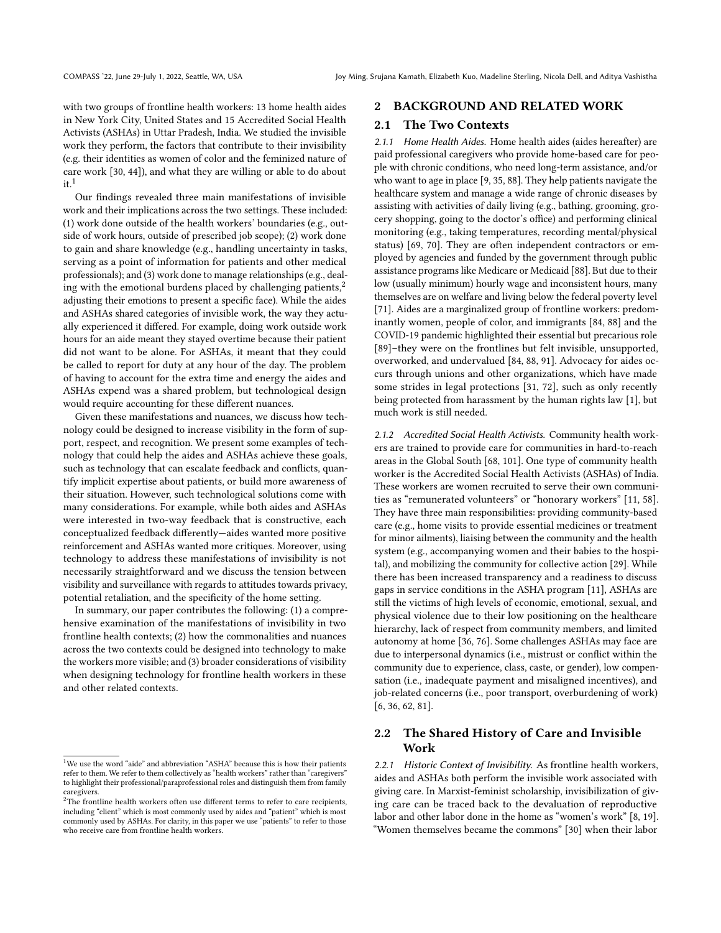with two groups of frontline health workers: 13 home health aides in New York City, United States and 15 Accredited Social Health Activists (ASHAs) in Uttar Pradesh, India. We studied the invisible work they perform, the factors that contribute to their invisibility (e.g. their identities as women of color and the feminized nature of care work [\[30,](#page-11-11) [44\]](#page-11-12)), and what they are willing or able to do about  $it<sup>1</sup>$  $it<sup>1</sup>$  $it<sup>1</sup>$ 

Our findings revealed three main manifestations of invisible work and their implications across the two settings. These included: (1) work done outside of the health workers' boundaries (e.g., outside of work hours, outside of prescribed job scope); (2) work done to gain and share knowledge (e.g., handling uncertainty in tasks, serving as a point of information for patients and other medical professionals); and (3) work done to manage relationships (e.g., dealing with the emotional burdens placed by challenging patients, $2$ adjusting their emotions to present a specific face). While the aides and ASHAs shared categories of invisible work, the way they actually experienced it differed. For example, doing work outside work hours for an aide meant they stayed overtime because their patient did not want to be alone. For ASHAs, it meant that they could be called to report for duty at any hour of the day. The problem of having to account for the extra time and energy the aides and ASHAs expend was a shared problem, but technological design would require accounting for these different nuances.

Given these manifestations and nuances, we discuss how technology could be designed to increase visibility in the form of support, respect, and recognition. We present some examples of technology that could help the aides and ASHAs achieve these goals, such as technology that can escalate feedback and conflicts, quantify implicit expertise about patients, or build more awareness of their situation. However, such technological solutions come with many considerations. For example, while both aides and ASHAs were interested in two-way feedback that is constructive, each conceptualized feedback differently—aides wanted more positive reinforcement and ASHAs wanted more critiques. Moreover, using technology to address these manifestations of invisibility is not necessarily straightforward and we discuss the tension between visibility and surveillance with regards to attitudes towards privacy, potential retaliation, and the specificity of the home setting.

In summary, our paper contributes the following: (1) a comprehensive examination of the manifestations of invisibility in two frontline health contexts; (2) how the commonalities and nuances across the two contexts could be designed into technology to make the workers more visible; and (3) broader considerations of visibility when designing technology for frontline health workers in these and other related contexts.

#### 2 BACKGROUND AND RELATED WORK

## 2.1 The Two Contexts

2.1.1 Home Health Aides. Home health aides (aides hereafter) are paid professional caregivers who provide home-based care for people with chronic conditions, who need long-term assistance, and/or who want to age in place [\[9,](#page-10-3) [35,](#page-11-13) [88\]](#page-12-1). They help patients navigate the healthcare system and manage a wide range of chronic diseases by assisting with activities of daily living (e.g., bathing, grooming, grocery shopping, going to the doctor's office) and performing clinical monitoring (e.g., taking temperatures, recording mental/physical status) [\[69,](#page-12-12) [70\]](#page-12-13). They are often independent contractors or employed by agencies and funded by the government through public assistance programs like Medicare or Medicaid [\[88\]](#page-12-1). But due to their low (usually minimum) hourly wage and inconsistent hours, many themselves are on welfare and living below the federal poverty level [\[71\]](#page-12-14). Aides are a marginalized group of frontline workers: predominantly women, people of color, and immigrants [\[84,](#page-12-5) [88\]](#page-12-1) and the COVID-19 pandemic highlighted their essential but precarious role [\[89\]](#page-12-15)–they were on the frontlines but felt invisible, unsupported, overworked, and undervalued [\[84,](#page-12-5) [88,](#page-12-1) [91\]](#page-12-2). Advocacy for aides occurs through unions and other organizations, which have made some strides in legal protections [\[31,](#page-11-14) [72\]](#page-12-3), such as only recently being protected from harassment by the human rights law [\[1\]](#page-10-4), but much work is still needed.

2.1.2 Accredited Social Health Activists. Community health workers are trained to provide care for communities in hard-to-reach areas in the Global South [\[68,](#page-11-2) [101\]](#page-12-16). One type of community health worker is the Accredited Social Health Activists (ASHAs) of India. These workers are women recruited to serve their own communities as "remunerated volunteers" or "honorary workers" [\[11,](#page-10-0) [58\]](#page-11-15). They have three main responsibilities: providing community-based care (e.g., home visits to provide essential medicines or treatment for minor ailments), liaising between the community and the health system (e.g., accompanying women and their babies to the hospital), and mobilizing the community for collective action [\[29\]](#page-11-16). While there has been increased transparency and a readiness to discuss gaps in service conditions in the ASHA program [\[11\]](#page-10-0), ASHAs are still the victims of high levels of economic, emotional, sexual, and physical violence due to their low positioning on the healthcare hierarchy, lack of respect from community members, and limited autonomy at home [\[36,](#page-11-0) [76\]](#page-12-4). Some challenges ASHAs may face are due to interpersonal dynamics (i.e., mistrust or conflict within the community due to experience, class, caste, or gender), low compensation (i.e., inadequate payment and misaligned incentives), and job-related concerns (i.e., poor transport, overburdening of work) [\[6,](#page-10-5) [36,](#page-11-0) [62,](#page-11-17) [81\]](#page-12-17).

## 2.2 The Shared History of Care and Invisible Work

2.2.1 Historic Context of Invisibility. As frontline health workers, aides and ASHAs both perform the invisible work associated with giving care. In Marxist-feminist scholarship, invisibilization of giving care can be traced back to the devaluation of reproductive labor and other labor done in the home as "women's work" [\[8,](#page-10-6) [19\]](#page-11-5). "Women themselves became the commons" [\[30\]](#page-11-11) when their labor

<span id="page-1-0"></span><sup>1</sup>We use the word "aide" and abbreviation "ASHA" because this is how their patients refer to them. We refer to them collectively as "health workers" rather than "caregivers" to highlight their professional/paraprofessional roles and distinguish them from family caregivers.

<span id="page-1-1"></span> $2$ The frontline health workers often use different terms to refer to care recipients, including "client" which is most commonly used by aides and "patient" which is most commonly used by ASHAs. For clarity, in this paper we use "patients" to refer to those who receive care from frontline health workers.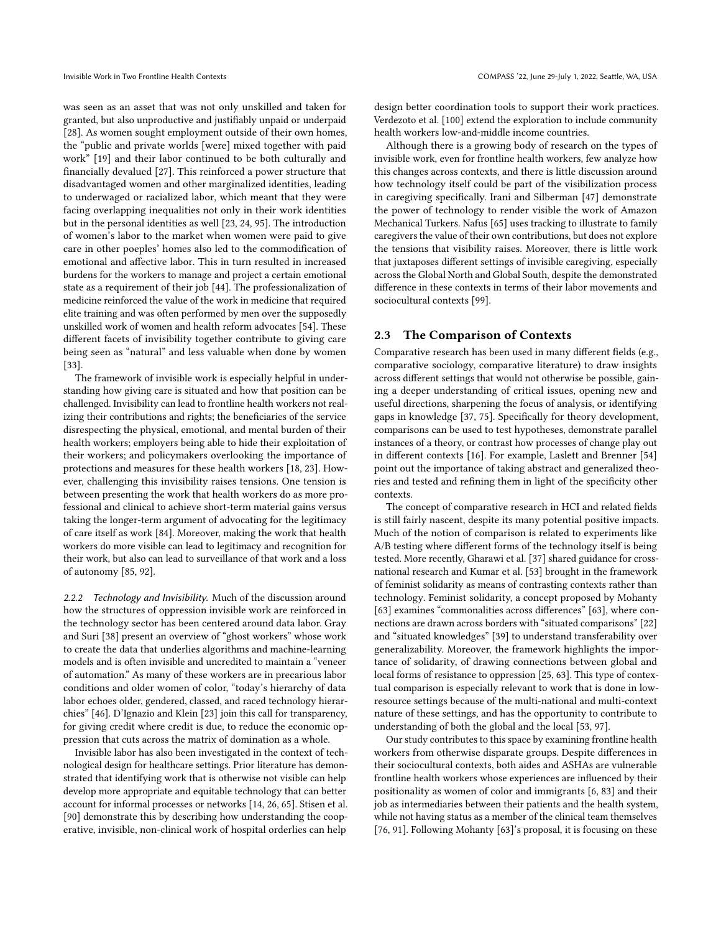was seen as an asset that was not only unskilled and taken for granted, but also unproductive and justifiably unpaid or underpaid [\[28\]](#page-11-18). As women sought employment outside of their own homes, the "public and private worlds [were] mixed together with paid work" [\[19\]](#page-11-5) and their labor continued to be both culturally and financially devalued [\[27\]](#page-11-19). This reinforced a power structure that disadvantaged women and other marginalized identities, leading to underwaged or racialized labor, which meant that they were facing overlapping inequalities not only in their work identities but in the personal identities as well [\[23,](#page-11-20) [24,](#page-11-21) [95\]](#page-12-18). The introduction of women's labor to the market when women were paid to give care in other poeples' homes also led to the commodification of emotional and affective labor. This in turn resulted in increased burdens for the workers to manage and project a certain emotional state as a requirement of their job [\[44\]](#page-11-12). The professionalization of medicine reinforced the value of the work in medicine that required elite training and was often performed by men over the supposedly unskilled work of women and health reform advocates [\[54\]](#page-11-22). These different facets of invisibility together contribute to giving care being seen as "natural" and less valuable when done by women [\[33\]](#page-11-23).

The framework of invisible work is especially helpful in understanding how giving care is situated and how that position can be challenged. Invisibility can lead to frontline health workers not realizing their contributions and rights; the beneficiaries of the service disrespecting the physical, emotional, and mental burden of their health workers; employers being able to hide their exploitation of their workers; and policymakers overlooking the importance of protections and measures for these health workers [\[18,](#page-11-4) [23\]](#page-11-20). However, challenging this invisibility raises tensions. One tension is between presenting the work that health workers do as more professional and clinical to achieve short-term material gains versus taking the longer-term argument of advocating for the legitimacy of care itself as work [\[84\]](#page-12-5). Moreover, making the work that health workers do more visible can lead to legitimacy and recognition for their work, but also can lead to surveillance of that work and a loss of autonomy [\[85,](#page-12-7) [92\]](#page-12-19).

2.2.2 Technology and Invisibility. Much of the discussion around how the structures of oppression invisible work are reinforced in the technology sector has been centered around data labor. Gray and Suri [\[38\]](#page-11-24) present an overview of "ghost workers" whose work to create the data that underlies algorithms and machine-learning models and is often invisible and uncredited to maintain a "veneer of automation." As many of these workers are in precarious labor conditions and older women of color, "today's hierarchy of data labor echoes older, gendered, classed, and raced technology hierarchies" [\[46\]](#page-11-25). D'Ignazio and Klein [\[23\]](#page-11-20) join this call for transparency, for giving credit where credit is due, to reduce the economic oppression that cuts across the matrix of domination as a whole.

Invisible labor has also been investigated in the context of technological design for healthcare settings. Prior literature has demonstrated that identifying work that is otherwise not visible can help develop more appropriate and equitable technology that can better account for informal processes or networks [\[14,](#page-10-2) [26,](#page-11-26) [65\]](#page-11-7). Stisen et al. [\[90\]](#page-12-9) demonstrate this by describing how understanding the cooperative, invisible, non-clinical work of hospital orderlies can help

design better coordination tools to support their work practices. Verdezoto et al. [\[100\]](#page-12-10) extend the exploration to include community health workers low-and-middle income countries.

Although there is a growing body of research on the types of invisible work, even for frontline health workers, few analyze how this changes across contexts, and there is little discussion around how technology itself could be part of the visibilization process in caregiving specifically. Irani and Silberman [\[47\]](#page-11-27) demonstrate the power of technology to render visible the work of Amazon Mechanical Turkers. Nafus [\[65\]](#page-11-7) uses tracking to illustrate to family caregivers the value of their own contributions, but does not explore the tensions that visibility raises. Moreover, there is little work that juxtaposes different settings of invisible caregiving, especially across the Global North and Global South, despite the demonstrated difference in these contexts in terms of their labor movements and sociocultural contexts [\[99\]](#page-12-20).

## 2.3 The Comparison of Contexts

Comparative research has been used in many different fields (e.g., comparative sociology, comparative literature) to draw insights across different settings that would not otherwise be possible, gaining a deeper understanding of critical issues, opening new and useful directions, sharpening the focus of analysis, or identifying gaps in knowledge [\[37,](#page-11-28) [75\]](#page-12-21). Specifically for theory development, comparisons can be used to test hypotheses, demonstrate parallel instances of a theory, or contrast how processes of change play out in different contexts [\[16\]](#page-10-7). For example, Laslett and Brenner [\[54\]](#page-11-22) point out the importance of taking abstract and generalized theories and tested and refining them in light of the specificity other contexts.

The concept of comparative research in HCI and related fields is still fairly nascent, despite its many potential positive impacts. Much of the notion of comparison is related to experiments like A/B testing where different forms of the technology itself is being tested. More recently, Gharawi et al. [\[37\]](#page-11-28) shared guidance for crossnational research and Kumar et al. [\[53\]](#page-11-10) brought in the framework of feminist solidarity as means of contrasting contexts rather than technology. Feminist solidarity, a concept proposed by Mohanty [\[63\]](#page-11-8) examines "commonalities across differences" [63], where connections are drawn across borders with "situated comparisons" [\[22\]](#page-11-29) and "situated knowledges" [\[39\]](#page-11-30) to understand transferability over generalizability. Moreover, the framework highlights the importance of solidarity, of drawing connections between global and local forms of resistance to oppression [\[25,](#page-11-31) [63\]](#page-11-8). This type of contextual comparison is especially relevant to work that is done in lowresource settings because of the multi-national and multi-context nature of these settings, and has the opportunity to contribute to understanding of both the global and the local [\[53,](#page-11-10) [97\]](#page-12-11).

Our study contributes to this space by examining frontline health workers from otherwise disparate groups. Despite differences in their sociocultural contexts, both aides and ASHAs are vulnerable frontline health workers whose experiences are influenced by their positionality as women of color and immigrants [\[6,](#page-10-5) [83\]](#page-12-22) and their job as intermediaries between their patients and the health system, while not having status as a member of the clinical team themselves [\[76,](#page-12-4) [91\]](#page-12-2). Following Mohanty [\[63\]](#page-11-8)'s proposal, it is focusing on these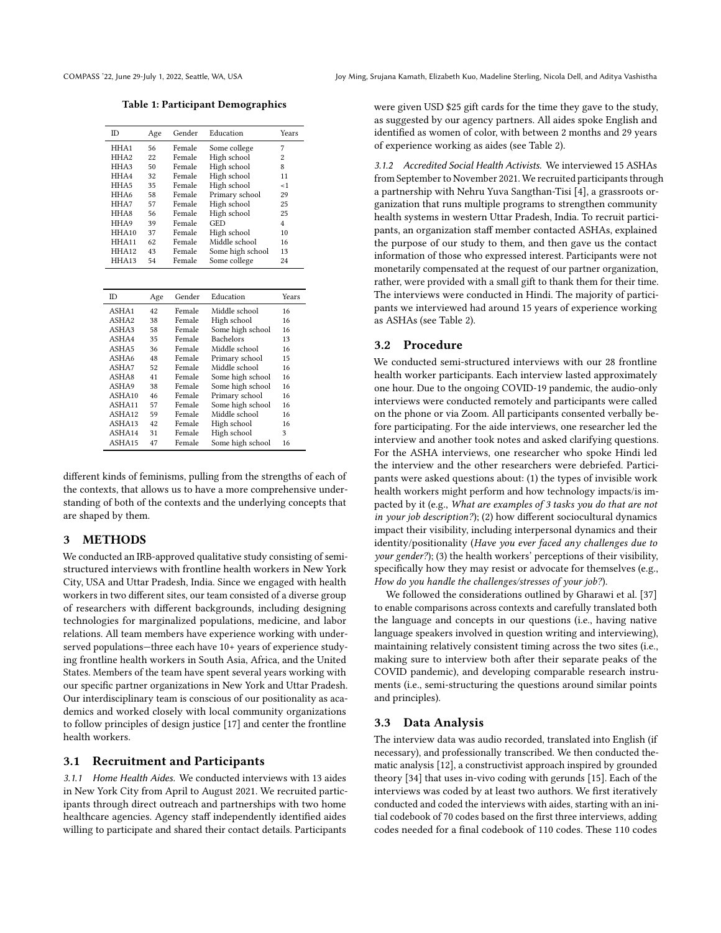Table 1: Participant Demographics

| ID                | Age | Gender | Education        | Years          |
|-------------------|-----|--------|------------------|----------------|
| HHA1              | 56  | Female | Some college     | 7              |
| HHA <sub>2</sub>  | 22  | Female | High school      | $\overline{c}$ |
| HHA3              | 50  | Female | High school      | 8              |
| HHA4              | 32  | Female | High school      | 11             |
| HHA5              | 35  | Female | High school      | < 1            |
| HHA6              | 58  | Female | Primary school   | 29             |
| HHA7              | 57  | Female | High school      | 25             |
| HHA8              | 56  | Female | High school      | 25             |
| HHA9              | 39  | Female | GED              | 4              |
| HHA <sub>10</sub> | 37  | Female | High school      | 10             |
| HHA <sub>11</sub> | 62  | Female | Middle school    | 16             |
| HHA <sub>12</sub> | 43  | Female | Some high school | 13             |
| HHA <sub>13</sub> | 54  | Female | Some college     | 24             |

| ID                | Age | Gender | Education        | Years |
|-------------------|-----|--------|------------------|-------|
| ASHA1             | 42  | Female | Middle school    | 16    |
| ASHA <sub>2</sub> | 38  | Female | High school      | 16    |
| ASHA3             | 58  | Female | Some high school | 16    |
| ASHA4             | 35  | Female | <b>Bachelors</b> | 13    |
| ASHA5             | 36  | Female | Middle school    | 16    |
| ASHA6             | 48  | Female | Primary school   | 15    |
| ASHA7             | 52  | Female | Middle school    | 16    |
| ASHA8             | 41  | Female | Some high school | 16    |
| ASHA9             | 38  | Female | Some high school | 16    |
| ASHA10            | 46  | Female | Primary school   | 16    |
| ASHA11            | 57  | Female | Some high school | 16    |
| ASHA12            | 59  | Female | Middle school    | 16    |
| ASHA13            | 42  | Female | High school      | 16    |
| ASHA14            | 31  | Female | High school      | 3     |
| ASHA15            | 47  | Female | Some high school | 16    |
|                   |     |        |                  |       |

different kinds of feminisms, pulling from the strengths of each of the contexts, that allows us to have a more comprehensive understanding of both of the contexts and the underlying concepts that are shaped by them.

## 3 METHODS

We conducted an IRB-approved qualitative study consisting of semistructured interviews with frontline health workers in New York City, USA and Uttar Pradesh, India. Since we engaged with health workers in two different sites, our team consisted of a diverse group of researchers with different backgrounds, including designing technologies for marginalized populations, medicine, and labor relations. All team members have experience working with underserved populations—three each have 10+ years of experience studying frontline health workers in South Asia, Africa, and the United States. Members of the team have spent several years working with our specific partner organizations in New York and Uttar Pradesh. Our interdisciplinary team is conscious of our positionality as academics and worked closely with local community organizations to follow principles of design justice [\[17\]](#page-11-3) and center the frontline health workers.

## 3.1 Recruitment and Participants

3.1.1 Home Health Aides. We conducted interviews with 13 aides in New York City from April to August 2021. We recruited participants through direct outreach and partnerships with two home healthcare agencies. Agency staff independently identified aides willing to participate and shared their contact details. Participants

were given USD \$25 gift cards for the time they gave to the study, as suggested by our agency partners. All aides spoke English and identified as women of color, with between 2 months and 29 years of experience working as aides (see Table [2\)](#page-8-0).

3.1.2 Accredited Social Health Activists. We interviewed 15 ASHAs from September to November 2021. We recruited participants through a partnership with Nehru Yuva Sangthan-Tisi [\[4\]](#page-10-8), a grassroots organization that runs multiple programs to strengthen community health systems in western Uttar Pradesh, India. To recruit participants, an organization staff member contacted ASHAs, explained the purpose of our study to them, and then gave us the contact information of those who expressed interest. Participants were not monetarily compensated at the request of our partner organization, rather, were provided with a small gift to thank them for their time. The interviews were conducted in Hindi. The majority of participants we interviewed had around 15 years of experience working as ASHAs (see Table [2\)](#page-8-0).

## 3.2 Procedure

We conducted semi-structured interviews with our 28 frontline health worker participants. Each interview lasted approximately one hour. Due to the ongoing COVID-19 pandemic, the audio-only interviews were conducted remotely and participants were called on the phone or via Zoom. All participants consented verbally before participating. For the aide interviews, one researcher led the interview and another took notes and asked clarifying questions. For the ASHA interviews, one researcher who spoke Hindi led the interview and the other researchers were debriefed. Participants were asked questions about: (1) the types of invisible work health workers might perform and how technology impacts/is impacted by it (e.g., What are examples of 3 tasks you do that are not in your job description?); (2) how different sociocultural dynamics impact their visibility, including interpersonal dynamics and their identity/positionality (Have you ever faced any challenges due to your gender?); (3) the health workers' perceptions of their visibility, specifically how they may resist or advocate for themselves (e.g., How do you handle the challenges/stresses of your job?).

We followed the considerations outlined by Gharawi et al. [\[37\]](#page-11-28) to enable comparisons across contexts and carefully translated both the language and concepts in our questions (i.e., having native language speakers involved in question writing and interviewing), maintaining relatively consistent timing across the two sites (i.e., making sure to interview both after their separate peaks of the COVID pandemic), and developing comparable research instruments (i.e., semi-structuring the questions around similar points and principles).

#### 3.3 Data Analysis

The interview data was audio recorded, translated into English (if necessary), and professionally transcribed. We then conducted thematic analysis [\[12\]](#page-10-9), a constructivist approach inspired by grounded theory [\[34\]](#page-11-32) that uses in-vivo coding with gerunds [\[15\]](#page-10-10). Each of the interviews was coded by at least two authors. We first iteratively conducted and coded the interviews with aides, starting with an initial codebook of 70 codes based on the first three interviews, adding codes needed for a final codebook of 110 codes. These 110 codes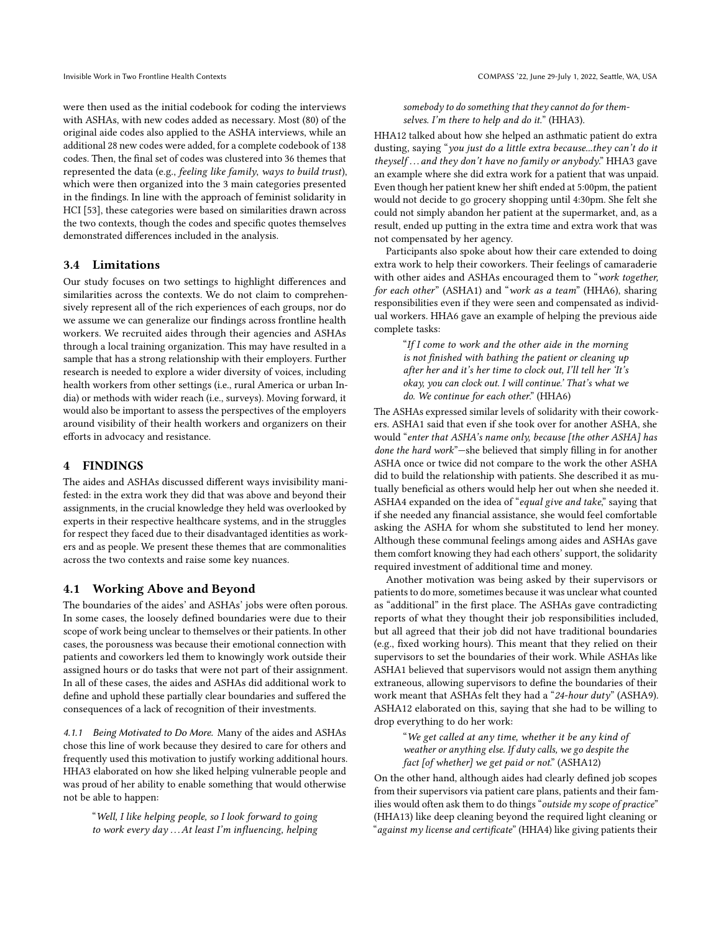were then used as the initial codebook for coding the interviews with ASHAs, with new codes added as necessary. Most (80) of the original aide codes also applied to the ASHA interviews, while an additional 28 new codes were added, for a complete codebook of 138 codes. Then, the final set of codes was clustered into 36 themes that represented the data (e.g., feeling like family, ways to build trust), which were then organized into the 3 main categories presented in the findings. In line with the approach of feminist solidarity in HCI [\[53\]](#page-11-10), these categories were based on similarities drawn across the two contexts, though the codes and specific quotes themselves demonstrated differences included in the analysis.

## 3.4 Limitations

Our study focuses on two settings to highlight differences and similarities across the contexts. We do not claim to comprehensively represent all of the rich experiences of each groups, nor do we assume we can generalize our findings across frontline health workers. We recruited aides through their agencies and ASHAs through a local training organization. This may have resulted in a sample that has a strong relationship with their employers. Further research is needed to explore a wider diversity of voices, including health workers from other settings (i.e., rural America or urban India) or methods with wider reach (i.e., surveys). Moving forward, it would also be important to assess the perspectives of the employers around visibility of their health workers and organizers on their efforts in advocacy and resistance.

## 4 FINDINGS

The aides and ASHAs discussed different ways invisibility manifested: in the extra work they did that was above and beyond their assignments, in the crucial knowledge they held was overlooked by experts in their respective healthcare systems, and in the struggles for respect they faced due to their disadvantaged identities as workers and as people. We present these themes that are commonalities across the two contexts and raise some key nuances.

## <span id="page-4-0"></span>4.1 Working Above and Beyond

The boundaries of the aides' and ASHAs' jobs were often porous. In some cases, the loosely defined boundaries were due to their scope of work being unclear to themselves or their patients. In other cases, the porousness was because their emotional connection with patients and coworkers led them to knowingly work outside their assigned hours or do tasks that were not part of their assignment. In all of these cases, the aides and ASHAs did additional work to define and uphold these partially clear boundaries and suffered the consequences of a lack of recognition of their investments.

4.1.1 Being Motivated to Do More. Many of the aides and ASHAs chose this line of work because they desired to care for others and frequently used this motivation to justify working additional hours. HHA3 elaborated on how she liked helping vulnerable people and was proud of her ability to enable something that would otherwise not be able to happen:

"Well, I like helping people, so I look forward to going to work every day . . .At least I'm influencing, helping somebody to do something that they cannot do for themselves. I'm there to help and do it." (HHA3).

HHA12 talked about how she helped an asthmatic patient do extra dusting, saying "you just do a little extra because...they can't do it theyself . . . and they don't have no family or anybody." HHA3 gave an example where she did extra work for a patient that was unpaid. Even though her patient knew her shift ended at 5:00pm, the patient would not decide to go grocery shopping until 4:30pm. She felt she could not simply abandon her patient at the supermarket, and, as a result, ended up putting in the extra time and extra work that was not compensated by her agency.

Participants also spoke about how their care extended to doing extra work to help their coworkers. Their feelings of camaraderie with other aides and ASHAs encouraged them to "work together, for each other" (ASHA1) and "work as a team" (HHA6), sharing responsibilities even if they were seen and compensated as individual workers. HHA6 gave an example of helping the previous aide complete tasks:

> "If I come to work and the other aide in the morning is not finished with bathing the patient or cleaning up after her and it's her time to clock out, I'll tell her 'It's okay, you can clock out. I will continue.' That's what we do. We continue for each other." (HHA6)

The ASHAs expressed similar levels of solidarity with their coworkers. ASHA1 said that even if she took over for another ASHA, she would "enter that ASHA's name only, because [the other ASHA] has done the hard work"—she believed that simply filling in for another ASHA once or twice did not compare to the work the other ASHA did to build the relationship with patients. She described it as mutually beneficial as others would help her out when she needed it. ASHA4 expanded on the idea of "equal give and take," saying that if she needed any financial assistance, she would feel comfortable asking the ASHA for whom she substituted to lend her money. Although these communal feelings among aides and ASHAs gave them comfort knowing they had each others' support, the solidarity required investment of additional time and money.

Another motivation was being asked by their supervisors or patients to do more, sometimes because it was unclear what counted as "additional" in the first place. The ASHAs gave contradicting reports of what they thought their job responsibilities included, but all agreed that their job did not have traditional boundaries (e.g., fixed working hours). This meant that they relied on their supervisors to set the boundaries of their work. While ASHAs like ASHA1 believed that supervisors would not assign them anything extraneous, allowing supervisors to define the boundaries of their work meant that ASHAs felt they had a "24-hour duty" (ASHA9). ASHA12 elaborated on this, saying that she had to be willing to drop everything to do her work:

"We get called at any time, whether it be any kind of weather or anything else. If duty calls, we go despite the fact [of whether] we get paid or not." (ASHA12)

On the other hand, although aides had clearly defined job scopes from their supervisors via patient care plans, patients and their families would often ask them to do things "outside my scope of practice" (HHA13) like deep cleaning beyond the required light cleaning or "against my license and certificate" (HHA4) like giving patients their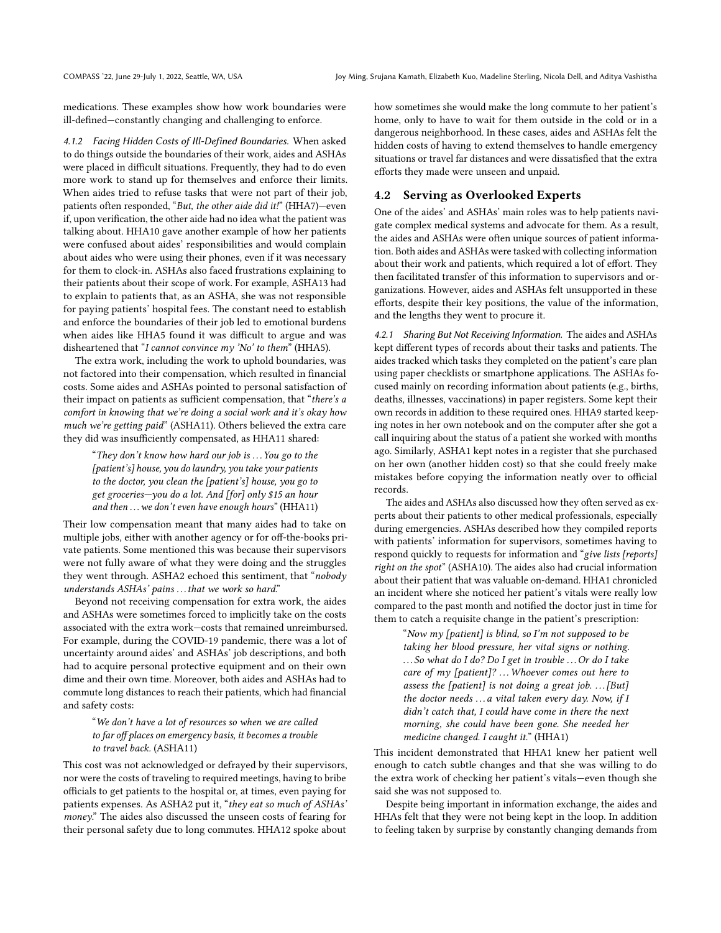medications. These examples show how work boundaries were ill-defined—constantly changing and challenging to enforce.

4.1.2 Facing Hidden Costs of Ill-Defined Boundaries. When asked to do things outside the boundaries of their work, aides and ASHAs were placed in difficult situations. Frequently, they had to do even more work to stand up for themselves and enforce their limits. When aides tried to refuse tasks that were not part of their job, patients often responded, "But, the other aide did it!" (HHA7)—even if, upon verification, the other aide had no idea what the patient was talking about. HHA10 gave another example of how her patients were confused about aides' responsibilities and would complain about aides who were using their phones, even if it was necessary for them to clock-in. ASHAs also faced frustrations explaining to their patients about their scope of work. For example, ASHA13 had to explain to patients that, as an ASHA, she was not responsible for paying patients' hospital fees. The constant need to establish and enforce the boundaries of their job led to emotional burdens when aides like HHA5 found it was difficult to argue and was disheartened that "I cannot convince my 'No' to them" (HHA5).

The extra work, including the work to uphold boundaries, was not factored into their compensation, which resulted in financial costs. Some aides and ASHAs pointed to personal satisfaction of their impact on patients as sufficient compensation, that "there's a comfort in knowing that we're doing a social work and it's okay how much we're getting paid" (ASHA11). Others believed the extra care they did was insufficiently compensated, as HHA11 shared:

"They don't know how hard our job is  $\ldots$  You go to the [patient's] house, you do laundry, you take your patients to the doctor, you clean the [patient's] house, you go to get groceries—you do a lot. And [for] only \$15 an hour and then  $\dots$  we don't even have enough hours" (HHA11)

Their low compensation meant that many aides had to take on multiple jobs, either with another agency or for off-the-books private patients. Some mentioned this was because their supervisors were not fully aware of what they were doing and the struggles they went through. ASHA2 echoed this sentiment, that "nobody understands ASHAs' pains ... that we work so hard."

Beyond not receiving compensation for extra work, the aides and ASHAs were sometimes forced to implicitly take on the costs associated with the extra work—costs that remained unreimbursed. For example, during the COVID-19 pandemic, there was a lot of uncertainty around aides' and ASHAs' job descriptions, and both had to acquire personal protective equipment and on their own dime and their own time. Moreover, both aides and ASHAs had to commute long distances to reach their patients, which had financial and safety costs:

### "We don't have a lot of resources so when we are called to far off places on emergency basis, it becomes a trouble to travel back. (ASHA11)

This cost was not acknowledged or defrayed by their supervisors, nor were the costs of traveling to required meetings, having to bribe officials to get patients to the hospital or, at times, even paying for patients expenses. As ASHA2 put it, "they eat so much of ASHAs' money." The aides also discussed the unseen costs of fearing for their personal safety due to long commutes. HHA12 spoke about

how sometimes she would make the long commute to her patient's home, only to have to wait for them outside in the cold or in a dangerous neighborhood. In these cases, aides and ASHAs felt the hidden costs of having to extend themselves to handle emergency situations or travel far distances and were dissatisfied that the extra efforts they made were unseen and unpaid.

## <span id="page-5-0"></span>4.2 Serving as Overlooked Experts

One of the aides' and ASHAs' main roles was to help patients navigate complex medical systems and advocate for them. As a result, the aides and ASHAs were often unique sources of patient information. Both aides and ASHAs were tasked with collecting information about their work and patients, which required a lot of effort. They then facilitated transfer of this information to supervisors and organizations. However, aides and ASHAs felt unsupported in these efforts, despite their key positions, the value of the information, and the lengths they went to procure it.

4.2.1 Sharing But Not Receiving Information. The aides and ASHAs kept different types of records about their tasks and patients. The aides tracked which tasks they completed on the patient's care plan using paper checklists or smartphone applications. The ASHAs focused mainly on recording information about patients (e.g., births, deaths, illnesses, vaccinations) in paper registers. Some kept their own records in addition to these required ones. HHA9 started keeping notes in her own notebook and on the computer after she got a call inquiring about the status of a patient she worked with months ago. Similarly, ASHA1 kept notes in a register that she purchased on her own (another hidden cost) so that she could freely make mistakes before copying the information neatly over to official records.

The aides and ASHAs also discussed how they often served as experts about their patients to other medical professionals, especially during emergencies. ASHAs described how they compiled reports with patients' information for supervisors, sometimes having to respond quickly to requests for information and "give lists [reports] right on the spot" (ASHA10). The aides also had crucial information about their patient that was valuable on-demand. HHA1 chronicled an incident where she noticed her patient's vitals were really low compared to the past month and notified the doctor just in time for them to catch a requisite change in the patient's prescription:

> "Now my [patient] is blind, so I'm not supposed to be taking her blood pressure, her vital signs or nothing. ...So what do I do? Do I get in trouble ...Or do I take care of my [patient]? ... Whoever comes out here to assess the [patient] is not doing a great job.  $\dots$  [But] the doctor needs  $\dots$  a vital taken every day. Now, if I didn't catch that, I could have come in there the next morning, she could have been gone. She needed her medicine changed. I caught it." (HHA1)

This incident demonstrated that HHA1 knew her patient well enough to catch subtle changes and that she was willing to do the extra work of checking her patient's vitals—even though she said she was not supposed to.

Despite being important in information exchange, the aides and HHAs felt that they were not being kept in the loop. In addition to feeling taken by surprise by constantly changing demands from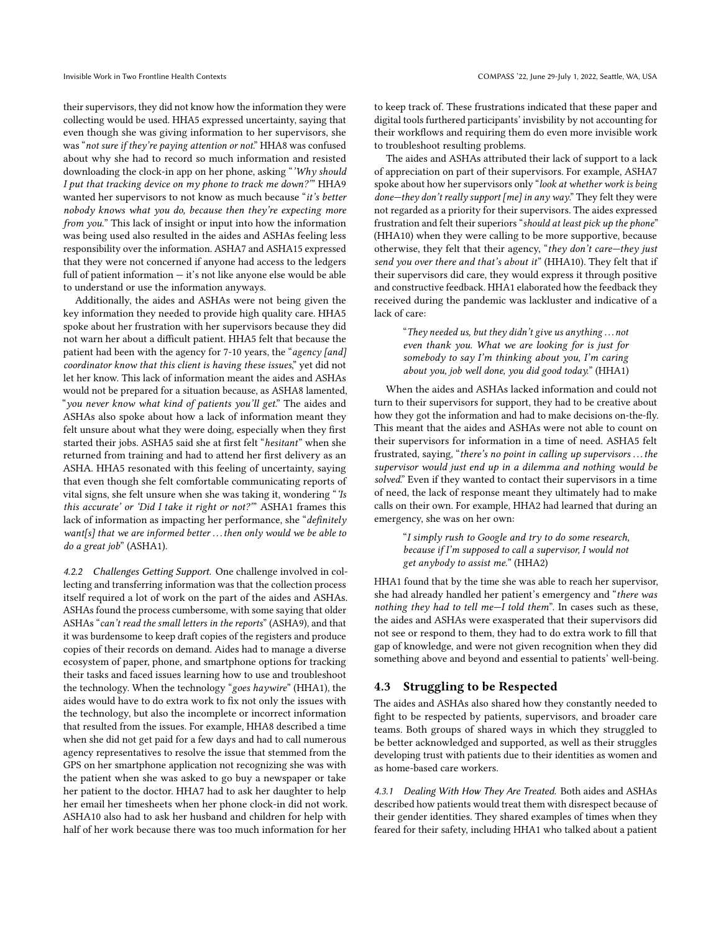their supervisors, they did not know how the information they were collecting would be used. HHA5 expressed uncertainty, saying that even though she was giving information to her supervisors, she was "not sure if they're paying attention or not." HHA8 was confused about why she had to record so much information and resisted downloading the clock-in app on her phone, asking "'Why should I put that tracking device on my phone to track me down?'" HHA9 wanted her supervisors to not know as much because "it's better nobody knows what you do, because then they're expecting more from you." This lack of insight or input into how the information was being used also resulted in the aides and ASHAs feeling less responsibility over the information. ASHA7 and ASHA15 expressed that they were not concerned if anyone had access to the ledgers full of patient information — it's not like anyone else would be able to understand or use the information anyways.

Additionally, the aides and ASHAs were not being given the key information they needed to provide high quality care. HHA5 spoke about her frustration with her supervisors because they did not warn her about a difficult patient. HHA5 felt that because the patient had been with the agency for 7-10 years, the "agency [and] coordinator know that this client is having these issues," yet did not let her know. This lack of information meant the aides and ASHAs would not be prepared for a situation because, as ASHA8 lamented, "you never know what kind of patients you'll get." The aides and ASHAs also spoke about how a lack of information meant they felt unsure about what they were doing, especially when they first started their jobs. ASHA5 said she at first felt "hesitant" when she returned from training and had to attend her first delivery as an ASHA. HHA5 resonated with this feeling of uncertainty, saying that even though she felt comfortable communicating reports of vital signs, she felt unsure when she was taking it, wondering "'Is this accurate' or 'Did I take it right or not?'" ASHA1 frames this lack of information as impacting her performance, she "definitely want[s] that we are informed better ... then only would we be able to do a great job" (ASHA1).

4.2.2 Challenges Getting Support. One challenge involved in collecting and transferring information was that the collection process itself required a lot of work on the part of the aides and ASHAs. ASHAs found the process cumbersome, with some saying that older ASHAs "can't read the small letters in the reports" (ASHA9), and that it was burdensome to keep draft copies of the registers and produce copies of their records on demand. Aides had to manage a diverse ecosystem of paper, phone, and smartphone options for tracking their tasks and faced issues learning how to use and troubleshoot the technology. When the technology "goes haywire" (HHA1), the aides would have to do extra work to fix not only the issues with the technology, but also the incomplete or incorrect information that resulted from the issues. For example, HHA8 described a time when she did not get paid for a few days and had to call numerous agency representatives to resolve the issue that stemmed from the GPS on her smartphone application not recognizing she was with the patient when she was asked to go buy a newspaper or take her patient to the doctor. HHA7 had to ask her daughter to help her email her timesheets when her phone clock-in did not work. ASHA10 also had to ask her husband and children for help with half of her work because there was too much information for her

to keep track of. These frustrations indicated that these paper and digital tools furthered participants' invisbility by not accounting for their workflows and requiring them do even more invisible work to troubleshoot resulting problems.

The aides and ASHAs attributed their lack of support to a lack of appreciation on part of their supervisors. For example, ASHA7 spoke about how her supervisors only "look at whether work is being done—they don't really support [me] in any way." They felt they were not regarded as a priority for their supervisors. The aides expressed frustration and felt their superiors "should at least pick up the phone" (HHA10) when they were calling to be more supportive, because otherwise, they felt that their agency, "they don't care—they just send you over there and that's about it" (HHA10). They felt that if their supervisors did care, they would express it through positive and constructive feedback. HHA1 elaborated how the feedback they received during the pandemic was lackluster and indicative of a lack of care:

> "They needed us, but they didn't give us anything . . . not even thank you. What we are looking for is just for somebody to say I'm thinking about you, I'm caring about you, job well done, you did good today." (HHA1)

When the aides and ASHAs lacked information and could not turn to their supervisors for support, they had to be creative about how they got the information and had to make decisions on-the-fly. This meant that the aides and ASHAs were not able to count on their supervisors for information in a time of need. ASHA5 felt frustrated, saying, "there's no point in calling up supervisors . . . the supervisor would just end up in a dilemma and nothing would be solved." Even if they wanted to contact their supervisors in a time of need, the lack of response meant they ultimately had to make calls on their own. For example, HHA2 had learned that during an emergency, she was on her own:

"I simply rush to Google and try to do some research, because if I'm supposed to call a supervisor, I would not get anybody to assist me." (HHA2)

HHA1 found that by the time she was able to reach her supervisor, she had already handled her patient's emergency and "there was nothing they had to tell me—I told them". In cases such as these, the aides and ASHAs were exasperated that their supervisors did not see or respond to them, they had to do extra work to fill that gap of knowledge, and were not given recognition when they did something above and beyond and essential to patients' well-being.

## <span id="page-6-0"></span>4.3 Struggling to be Respected

The aides and ASHAs also shared how they constantly needed to fight to be respected by patients, supervisors, and broader care teams. Both groups of shared ways in which they struggled to be better acknowledged and supported, as well as their struggles developing trust with patients due to their identities as women and as home-based care workers.

4.3.1 Dealing With How They Are Treated. Both aides and ASHAs described how patients would treat them with disrespect because of their gender identities. They shared examples of times when they feared for their safety, including HHA1 who talked about a patient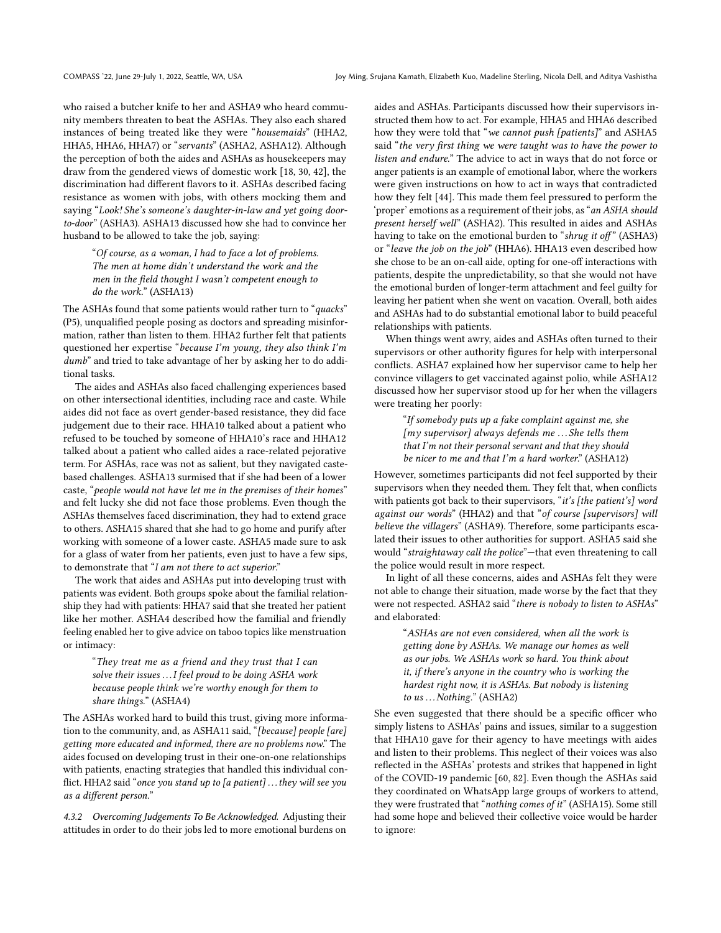who raised a butcher knife to her and ASHA9 who heard community members threaten to beat the ASHAs. They also each shared instances of being treated like they were "housemaids" (HHA2, HHA5, HHA6, HHA7) or "servants" (ASHA2, ASHA12). Although the perception of both the aides and ASHAs as housekeepers may draw from the gendered views of domestic work [\[18,](#page-11-4) [30,](#page-11-11) [42\]](#page-11-33), the discrimination had different flavors to it. ASHAs described facing resistance as women with jobs, with others mocking them and saying "Look! She's someone's daughter-in-law and yet going doorto-door" (ASHA3). ASHA13 discussed how she had to convince her husband to be allowed to take the job, saying:

"Of course, as a woman, I had to face a lot of problems. The men at home didn't understand the work and the men in the field thought I wasn't competent enough to do the work." (ASHA13)

The ASHAs found that some patients would rather turn to "quacks" (P5), unqualified people posing as doctors and spreading misinformation, rather than listen to them. HHA2 further felt that patients questioned her expertise "because I'm young, they also think I'm dumb" and tried to take advantage of her by asking her to do additional tasks.

The aides and ASHAs also faced challenging experiences based on other intersectional identities, including race and caste. While aides did not face as overt gender-based resistance, they did face judgement due to their race. HHA10 talked about a patient who refused to be touched by someone of HHA10's race and HHA12 talked about a patient who called aides a race-related pejorative term. For ASHAs, race was not as salient, but they navigated castebased challenges. ASHA13 surmised that if she had been of a lower caste, "people would not have let me in the premises of their homes" and felt lucky she did not face those problems. Even though the ASHAs themselves faced discrimination, they had to extend grace to others. ASHA15 shared that she had to go home and purify after working with someone of a lower caste. ASHA5 made sure to ask for a glass of water from her patients, even just to have a few sips, to demonstrate that "I am not there to act superior."

The work that aides and ASHAs put into developing trust with patients was evident. Both groups spoke about the familial relationship they had with patients: HHA7 said that she treated her patient like her mother. ASHA4 described how the familial and friendly feeling enabled her to give advice on taboo topics like menstruation or intimacy:

"They treat me as a friend and they trust that I can solve their issues ... I feel proud to be doing ASHA work because people think we're worthy enough for them to share things." (ASHA4)

The ASHAs worked hard to build this trust, giving more information to the community, and, as ASHA11 said, "[because] people [are] getting more educated and informed, there are no problems now." The aides focused on developing trust in their one-on-one relationships with patients, enacting strategies that handled this individual conflict. HHA2 said "once you stand up to [a patient] ... they will see you as a different person."

4.3.2 Overcoming Judgements To Be Acknowledged. Adjusting their attitudes in order to do their jobs led to more emotional burdens on

aides and ASHAs. Participants discussed how their supervisors instructed them how to act. For example, HHA5 and HHA6 described how they were told that "we cannot push [patients]" and ASHA5 said "the very first thing we were taught was to have the power to listen and endure." The advice to act in ways that do not force or anger patients is an example of emotional labor, where the workers were given instructions on how to act in ways that contradicted how they felt [\[44\]](#page-11-12). This made them feel pressured to perform the 'proper' emotions as a requirement of their jobs, as "an ASHA should present herself well" (ASHA2). This resulted in aides and ASHAs having to take on the emotional burden to "shrug it off" (ASHA3) or "leave the job on the job" (HHA6). HHA13 even described how she chose to be an on-call aide, opting for one-off interactions with patients, despite the unpredictability, so that she would not have the emotional burden of longer-term attachment and feel guilty for leaving her patient when she went on vacation. Overall, both aides and ASHAs had to do substantial emotional labor to build peaceful relationships with patients.

When things went awry, aides and ASHAs often turned to their supervisors or other authority figures for help with interpersonal conflicts. ASHA7 explained how her supervisor came to help her convince villagers to get vaccinated against polio, while ASHA12 discussed how her supervisor stood up for her when the villagers were treating her poorly:

> "If somebody puts up a fake complaint against me, she  $[my supervisor]$  always defends me ... She tells them that I'm not their personal servant and that they should be nicer to me and that I'm a hard worker." (ASHA12)

However, sometimes participants did not feel supported by their supervisors when they needed them. They felt that, when conflicts with patients got back to their supervisors, "it's [the patient's] word against our words" (HHA2) and that "of course [supervisors] will believe the villagers" (ASHA9). Therefore, some participants escalated their issues to other authorities for support. ASHA5 said she would "straightaway call the police"-that even threatening to call the police would result in more respect.

In light of all these concerns, aides and ASHAs felt they were not able to change their situation, made worse by the fact that they were not respected. ASHA2 said "there is nobody to listen to ASHAs" and elaborated:

> "ASHAs are not even considered, when all the work is getting done by ASHAs. We manage our homes as well as our jobs. We ASHAs work so hard. You think about it, if there's anyone in the country who is working the hardest right now, it is ASHAs. But nobody is listening to us ... Nothing." (ASHA2)

She even suggested that there should be a specific officer who simply listens to ASHAs' pains and issues, similar to a suggestion that HHA10 gave for their agency to have meetings with aides and listen to their problems. This neglect of their voices was also reflected in the ASHAs' protests and strikes that happened in light of the COVID-19 pandemic [\[60,](#page-11-34) [82\]](#page-12-23). Even though the ASHAs said they coordinated on WhatsApp large groups of workers to attend, they were frustrated that "nothing comes of it" (ASHA15). Some still had some hope and believed their collective voice would be harder to ignore: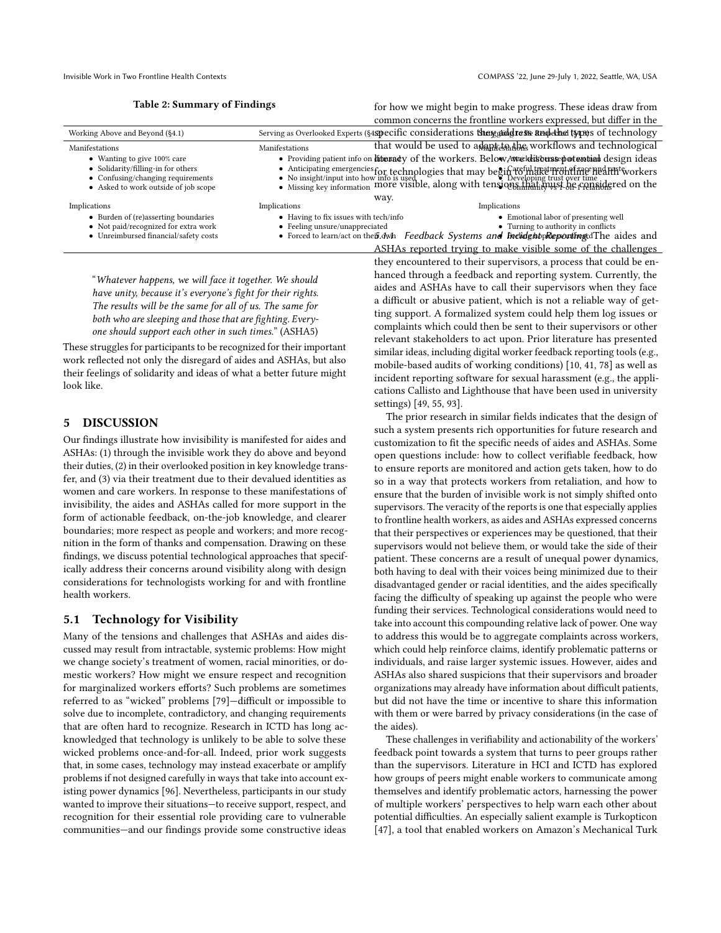<span id="page-8-0"></span>Invisible Work in Two Frontline Health Contexts COMPASS '22, June 29-July 1, 2022, Seattle, WA, USA

|  |  | <b>Table 2: Summary of Findings</b> |  |  |
|--|--|-------------------------------------|--|--|
|--|--|-------------------------------------|--|--|

for how we might begin to make progress. These ideas draw from common concerns the frontline workers expressed, but differ in the

| Working Above and Beyond (§4.1)                                                                                                                | Serving as Overlooked Experts (§4specific considerations thay address and the types of technology                                                                                                                                                                                                                                                                                    |                                                                |  |
|------------------------------------------------------------------------------------------------------------------------------------------------|--------------------------------------------------------------------------------------------------------------------------------------------------------------------------------------------------------------------------------------------------------------------------------------------------------------------------------------------------------------------------------------|----------------------------------------------------------------|--|
| Manifestations                                                                                                                                 | Manifestations                                                                                                                                                                                                                                                                                                                                                                       | that would be used to adapt to the workflows and technological |  |
| • Wanting to give 100% care<br>• Solidarity/filling-in for others<br>• Confusing/changing requirements<br>• Asked to work outside of job scope | • Providing patient info on liberady of the workers. Below Award is being between the design ideas<br>- Anticipating emergencies for technologies that may begin $\frac{1}{2}$ the $\frac{1}{2}$ and $\frac{1}{2}$ and $\frac{1}{2}$ are $\frac{1}{2}$ and $\frac{1}{2}$ are $\frac{1}{2}$ and $\frac{1}{2}$ are $\frac{1}{2}$ and $\frac{1}{2}$ are $\frac{1}{2}$ are $\frac{1}{2}$ |                                                                |  |
|                                                                                                                                                | way.                                                                                                                                                                                                                                                                                                                                                                                 |                                                                |  |
| Implications                                                                                                                                   | Implications                                                                                                                                                                                                                                                                                                                                                                         | Implications                                                   |  |
| • Burden of (re)asserting boundaries                                                                                                           | • Having to fix issues with tech/info                                                                                                                                                                                                                                                                                                                                                | • Emotional labor of presenting well                           |  |
| • Not paid/recognized for extra work                                                                                                           | • Feeling unsure/unappreciated                                                                                                                                                                                                                                                                                                                                                       | • Turning to authority in conflicts                            |  |
| • Unreimbursed financial/safety costs                                                                                                          | • Forced to learn/act on the $\tilde{p}$ , $\tilde{q}$ wh                                                                                                                                                                                                                                                                                                                            | Feedback Systems and Inclident preponting dThe aides and       |  |
|                                                                                                                                                |                                                                                                                                                                                                                                                                                                                                                                                      | ASHAs reported trying to make visible some of the challenges   |  |

"Whatever happens, we will face it together. We should have unity, because it's everyone's fight for their rights. The results will be the same for all of us. The same for both who are sleeping and those that are fighting. Everyone should support each other in such times." (ASHA5)

These struggles for participants to be recognized for their important work reflected not only the disregard of aides and ASHAs, but also their feelings of solidarity and ideas of what a better future might look like.

## 5 DISCUSSION

Our findings illustrate how invisibility is manifested for aides and ASHAs: (1) through the invisible work they do above and beyond their duties, (2) in their overlooked position in key knowledge transfer, and (3) via their treatment due to their devalued identities as women and care workers. In response to these manifestations of invisibility, the aides and ASHAs called for more support in the form of actionable feedback, on-the-job knowledge, and clearer boundaries; more respect as people and workers; and more recognition in the form of thanks and compensation. Drawing on these findings, we discuss potential technological approaches that specifically address their concerns around visibility along with design considerations for technologists working for and with frontline health workers.

## 5.1 Technology for Visibility

Many of the tensions and challenges that ASHAs and aides discussed may result from intractable, systemic problems: How might we change society's treatment of women, racial minorities, or domestic workers? How might we ensure respect and recognition for marginalized workers efforts? Such problems are sometimes referred to as "wicked" problems [\[79\]](#page-12-24)—difficult or impossible to solve due to incomplete, contradictory, and changing requirements that are often hard to recognize. Research in ICTD has long acknowledged that technology is unlikely to be able to solve these wicked problems once-and-for-all. Indeed, prior work suggests that, in some cases, technology may instead exacerbate or amplify problems if not designed carefully in ways that take into account existing power dynamics [\[96\]](#page-12-25). Nevertheless, participants in our study wanted to improve their situations—to receive support, respect, and recognition for their essential role providing care to vulnerable communities—and our findings provide some constructive ideas

ASHAs reported trying to make visible some of the challenges they encountered to their supervisors, a process that could be enhanced through a feedback and reporting system. Currently, the aides and ASHAs have to call their supervisors when they face a difficult or abusive patient, which is not a reliable way of getting support. A formalized system could help them log issues or complaints which could then be sent to their supervisors or other relevant stakeholders to act upon. Prior literature has presented similar ideas, including digital worker feedback reporting tools (e.g., mobile-based audits of working conditions) [\[10,](#page-10-11) [41,](#page-11-35) [78\]](#page-12-26) as well as incident reporting software for sexual harassment (e.g., the applications Callisto and Lighthouse that have been used in university settings) [\[49,](#page-11-36) [55,](#page-11-37) [93\]](#page-12-27).

The prior research in similar fields indicates that the design of such a system presents rich opportunities for future research and customization to fit the specific needs of aides and ASHAs. Some open questions include: how to collect verifiable feedback, how to ensure reports are monitored and action gets taken, how to do so in a way that protects workers from retaliation, and how to ensure that the burden of invisible work is not simply shifted onto supervisors. The veracity of the reports is one that especially applies to frontline health workers, as aides and ASHAs expressed concerns that their perspectives or experiences may be questioned, that their supervisors would not believe them, or would take the side of their patient. These concerns are a result of unequal power dynamics, both having to deal with their voices being minimized due to their disadvantaged gender or racial identities, and the aides specifically facing the difficulty of speaking up against the people who were funding their services. Technological considerations would need to take into account this compounding relative lack of power. One way to address this would be to aggregate complaints across workers, which could help reinforce claims, identify problematic patterns or individuals, and raise larger systemic issues. However, aides and ASHAs also shared suspicions that their supervisors and broader organizations may already have information about difficult patients, but did not have the time or incentive to share this information with them or were barred by privacy considerations (in the case of the aides).

These challenges in verifiability and actionability of the workers' feedback point towards a system that turns to peer groups rather than the supervisors. Literature in HCI and ICTD has explored how groups of peers might enable workers to communicate among themselves and identify problematic actors, harnessing the power of multiple workers' perspectives to help warn each other about potential difficulties. An especially salient example is Turkopticon [\[47\]](#page-11-27), a tool that enabled workers on Amazon's Mechanical Turk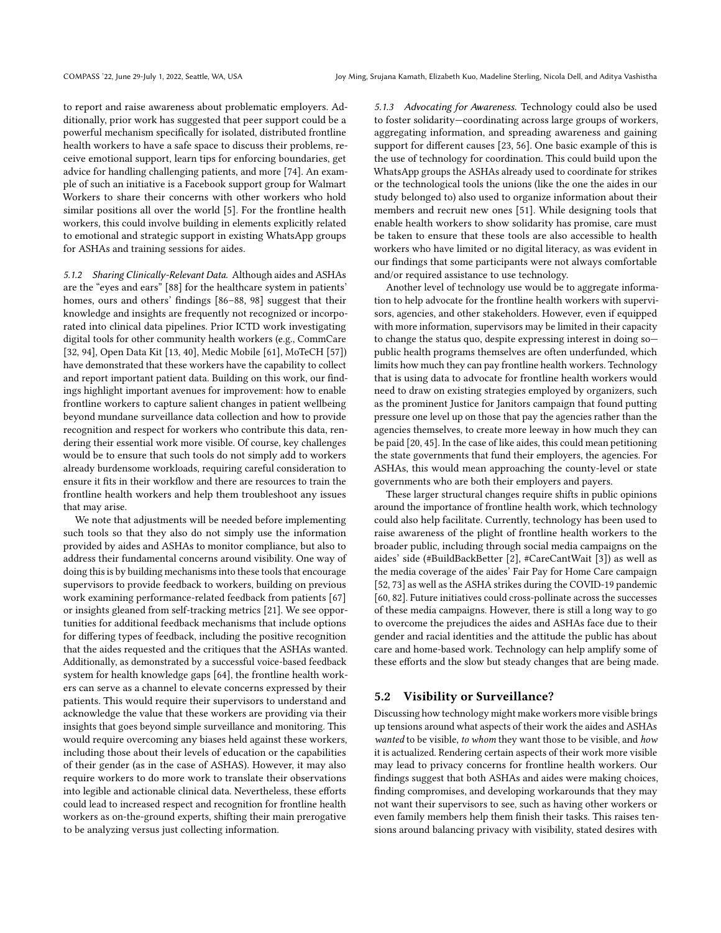to report and raise awareness about problematic employers. Additionally, prior work has suggested that peer support could be a powerful mechanism specifically for isolated, distributed frontline health workers to have a safe space to discuss their problems, receive emotional support, learn tips for enforcing boundaries, get advice for handling challenging patients, and more [\[74\]](#page-12-28). An example of such an initiative is a Facebook support group for Walmart Workers to share their concerns with other workers who hold similar positions all over the world [\[5\]](#page-10-12). For the frontline health workers, this could involve building in elements explicitly related to emotional and strategic support in existing WhatsApp groups for ASHAs and training sessions for aides.

5.1.2 Sharing Clinically-Relevant Data. Although aides and ASHAs are the "eyes and ears" [\[88\]](#page-12-1) for the healthcare system in patients' homes, ours and others' findings [\[86–](#page-12-29)[88,](#page-12-1) [98\]](#page-12-6) suggest that their knowledge and insights are frequently not recognized or incorporated into clinical data pipelines. Prior ICTD work investigating digital tools for other community health workers (e.g., CommCare [\[32,](#page-11-38) [94\]](#page-12-30), Open Data Kit [\[13,](#page-10-13) [40\]](#page-11-39), Medic Mobile [\[61\]](#page-11-40), MoTeCH [\[57\]](#page-11-41)) have demonstrated that these workers have the capability to collect and report important patient data. Building on this work, our findings highlight important avenues for improvement: how to enable frontline workers to capture salient changes in patient wellbeing beyond mundane surveillance data collection and how to provide recognition and respect for workers who contribute this data, rendering their essential work more visible. Of course, key challenges would be to ensure that such tools do not simply add to workers already burdensome workloads, requiring careful consideration to ensure it fits in their workflow and there are resources to train the frontline health workers and help them troubleshoot any issues that may arise.

We note that adjustments will be needed before implementing such tools so that they also do not simply use the information provided by aides and ASHAs to monitor compliance, but also to address their fundamental concerns around visibility. One way of doing this is by building mechanisms into these tools that encourage supervisors to provide feedback to workers, building on previous work examining performance-related feedback from patients [\[67\]](#page-11-42) or insights gleaned from self-tracking metrics [\[21\]](#page-11-43). We see opportunities for additional feedback mechanisms that include options for differing types of feedback, including the positive recognition that the aides requested and the critiques that the ASHAs wanted. Additionally, as demonstrated by a successful voice-based feedback system for health knowledge gaps [\[64\]](#page-11-44), the frontline health workers can serve as a channel to elevate concerns expressed by their patients. This would require their supervisors to understand and acknowledge the value that these workers are providing via their insights that goes beyond simple surveillance and monitoring. This would require overcoming any biases held against these workers, including those about their levels of education or the capabilities of their gender (as in the case of ASHAS). However, it may also require workers to do more work to translate their observations into legible and actionable clinical data. Nevertheless, these efforts could lead to increased respect and recognition for frontline health workers as on-the-ground experts, shifting their main prerogative to be analyzing versus just collecting information.

5.1.3 Advocating for Awareness. Technology could also be used to foster solidarity—coordinating across large groups of workers, aggregating information, and spreading awareness and gaining support for different causes [\[23,](#page-11-20) [56\]](#page-11-45). One basic example of this is the use of technology for coordination. This could build upon the WhatsApp groups the ASHAs already used to coordinate for strikes or the technological tools the unions (like the one the aides in our study belonged to) also used to organize information about their members and recruit new ones [\[51\]](#page-11-46). While designing tools that enable health workers to show solidarity has promise, care must be taken to ensure that these tools are also accessible to health workers who have limited or no digital literacy, as was evident in our findings that some participants were not always comfortable and/or required assistance to use technology.

Another level of technology use would be to aggregate information to help advocate for the frontline health workers with supervisors, agencies, and other stakeholders. However, even if equipped with more information, supervisors may be limited in their capacity to change the status quo, despite expressing interest in doing so public health programs themselves are often underfunded, which limits how much they can pay frontline health workers. Technology that is using data to advocate for frontline health workers would need to draw on existing strategies employed by organizers, such as the prominent Justice for Janitors campaign that found putting pressure one level up on those that pay the agencies rather than the agencies themselves, to create more leeway in how much they can be paid [\[20,](#page-11-47) [45\]](#page-11-48). In the case of like aides, this could mean petitioning the state governments that fund their employers, the agencies. For ASHAs, this would mean approaching the county-level or state governments who are both their employers and payers.

These larger structural changes require shifts in public opinions around the importance of frontline health work, which technology could also help facilitate. Currently, technology has been used to raise awareness of the plight of frontline health workers to the broader public, including through social media campaigns on the aides' side (#BuildBackBetter [\[2\]](#page-10-14), #CareCantWait [\[3\]](#page-10-15)) as well as the media coverage of the aides' Fair Pay for Home Care campaign [\[52,](#page-11-49) [73\]](#page-12-31) as well as the ASHA strikes during the COVID-19 pandemic [\[60,](#page-11-34) [82\]](#page-12-23). Future initiatives could cross-pollinate across the successes of these media campaigns. However, there is still a long way to go to overcome the prejudices the aides and ASHAs face due to their gender and racial identities and the attitude the public has about care and home-based work. Technology can help amplify some of these efforts and the slow but steady changes that are being made.

#### 5.2 Visibility or Surveillance?

Discussing how technology might make workers more visible brings up tensions around what aspects of their work the aides and ASHAs wanted to be visible, to whom they want those to be visible, and how it is actualized. Rendering certain aspects of their work more visible may lead to privacy concerns for frontline health workers. Our findings suggest that both ASHAs and aides were making choices, finding compromises, and developing workarounds that they may not want their supervisors to see, such as having other workers or even family members help them finish their tasks. This raises tensions around balancing privacy with visibility, stated desires with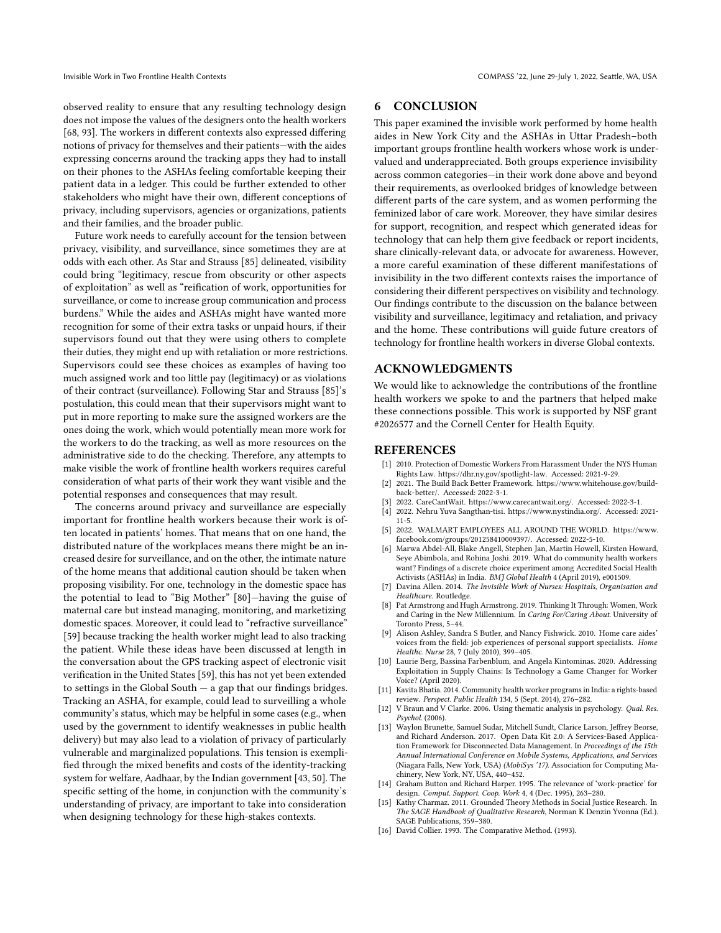observed reality to ensure that any resulting technology design does not impose the values of the designers onto the health workers [\[68,](#page-11-2) [93\]](#page-12-27). The workers in different contexts also expressed differing notions of privacy for themselves and their patients—with the aides expressing concerns around the tracking apps they had to install on their phones to the ASHAs feeling comfortable keeping their patient data in a ledger. This could be further extended to other stakeholders who might have their own, different conceptions of privacy, including supervisors, agencies or organizations, patients and their families, and the broader public.

Future work needs to carefully account for the tension between privacy, visibility, and surveillance, since sometimes they are at odds with each other. As Star and Strauss [\[85\]](#page-12-7) delineated, visibility could bring "legitimacy, rescue from obscurity or other aspects of exploitation" as well as "reification of work, opportunities for surveillance, or come to increase group communication and process burdens." While the aides and ASHAs might have wanted more recognition for some of their extra tasks or unpaid hours, if their supervisors found out that they were using others to complete their duties, they might end up with retaliation or more restrictions. Supervisors could see these choices as examples of having too much assigned work and too little pay (legitimacy) or as violations of their contract (surveillance). Following Star and Strauss [\[85\]](#page-12-7)'s postulation, this could mean that their supervisors might want to put in more reporting to make sure the assigned workers are the ones doing the work, which would potentially mean more work for the workers to do the tracking, as well as more resources on the administrative side to do the checking. Therefore, any attempts to make visible the work of frontline health workers requires careful consideration of what parts of their work they want visible and the potential responses and consequences that may result.

The concerns around privacy and surveillance are especially important for frontline health workers because their work is often located in patients' homes. That means that on one hand, the distributed nature of the workplaces means there might be an increased desire for surveillance, and on the other, the intimate nature of the home means that additional caution should be taken when proposing visibility. For one, technology in the domestic space has the potential to lead to "Big Mother" [\[80\]](#page-12-32)—having the guise of maternal care but instead managing, monitoring, and marketizing domestic spaces. Moreover, it could lead to "refractive surveillance" [\[59\]](#page-11-1) because tracking the health worker might lead to also tracking the patient. While these ideas have been discussed at length in the conversation about the GPS tracking aspect of electronic visit verification in the United States [\[59\]](#page-11-1), this has not yet been extended to settings in the Global South  $-$  a gap that our findings bridges. Tracking an ASHA, for example, could lead to surveilling a whole community's status, which may be helpful in some cases (e.g., when used by the government to identify weaknesses in public health delivery) but may also lead to a violation of privacy of particularly vulnerable and marginalized populations. This tension is exemplified through the mixed benefits and costs of the identity-tracking system for welfare, Aadhaar, by the Indian government [\[43,](#page-11-50) [50\]](#page-11-51). The specific setting of the home, in conjunction with the community's understanding of privacy, are important to take into consideration when designing technology for these high-stakes contexts.

## 6 CONCLUSION

This paper examined the invisible work performed by home health aides in New York City and the ASHAs in Uttar Pradesh–both important groups frontline health workers whose work is undervalued and underappreciated. Both groups experience invisibility across common categories—in their work done above and beyond their requirements, as overlooked bridges of knowledge between different parts of the care system, and as women performing the feminized labor of care work. Moreover, they have similar desires for support, recognition, and respect which generated ideas for technology that can help them give feedback or report incidents, share clinically-relevant data, or advocate for awareness. However, a more careful examination of these different manifestations of invisibility in the two different contexts raises the importance of considering their different perspectives on visibility and technology. Our findings contribute to the discussion on the balance between visibility and surveillance, legitimacy and retaliation, and privacy and the home. These contributions will guide future creators of technology for frontline health workers in diverse Global contexts.

## ACKNOWLEDGMENTS

We would like to acknowledge the contributions of the frontline health workers we spoke to and the partners that helped make these connections possible. This work is supported by NSF grant #2026577 and the Cornell Center for Health Equity.

#### REFERENCES

- <span id="page-10-4"></span>[1] 2010. Protection of Domestic Workers From Harassment Under the NYS Human Rights Law. [https://dhr.ny.gov/spotlight-law.](https://dhr.ny.gov/spotlight-law) Accessed: 2021-9-29.
- <span id="page-10-14"></span>[2] 2021. The Build Back Better Framework. [https://www.whitehouse.gov/build](https://www.whitehouse.gov/build-back-better/)[back-better/.](https://www.whitehouse.gov/build-back-better/) Accessed: 2022-3-1.
- <span id="page-10-15"></span>[3] 2022. CareCantWait. [https://www.carecantwait.org/.](https://www.carecantwait.org/) Accessed: 2022-3-1.
- <span id="page-10-8"></span>[4] 2022. Nehru Yuva Sangthan-tisi. [https://www.nystindia.org/.](https://www.nystindia.org/) Accessed: 2021- 11-5.
- <span id="page-10-12"></span>[5] 2022. WALMART EMPLOYEES ALL AROUND THE WORLD. [https://www.](https://www.facebook.com/groups/201258410009397/) [facebook.com/groups/201258410009397/.](https://www.facebook.com/groups/201258410009397/) Accessed: 2022-5-10.
- <span id="page-10-5"></span>[6] Marwa Abdel-All, Blake Angell, Stephen Jan, Martin Howell, Kirsten Howard, Seye Abimbola, and Rohina Joshi. 2019. What do community health workers want? Findings of a discrete choice experiment among Accredited Social Health Activists (ASHAs) in India. BMJ Global Health 4 (April 2019), e001509.
- <span id="page-10-1"></span>[7] Davina Allen. 2014. The Invisible Work of Nurses: Hospitals, Organisation and Healthcare. Routledge.
- <span id="page-10-6"></span>[8] Pat Armstrong and Hugh Armstrong. 2019. Thinking It Through: Women, Work and Caring in the New Millennium. In Caring For/Caring About. University of Toronto Press, 5–44.
- <span id="page-10-3"></span>[9] Alison Ashley, Sandra S Butler, and Nancy Fishwick. 2010. Home care aides' voices from the field: job experiences of personal support specialists. Home Healthc. Nurse 28, 7 (July 2010), 399–405.
- <span id="page-10-11"></span>[10] Laurie Berg, Bassina Farbenblum, and Angela Kintominas. 2020. Addressing Exploitation in Supply Chains: Is Technology a Game Changer for Worker Voice? (April 2020).
- <span id="page-10-0"></span>[11] Kavita Bhatia. 2014. Community health worker programs in India: a rights-based review. Perspect. Public Health 134, 5 (Sept. 2014), 276–282.
- <span id="page-10-9"></span>[12] V Braun and V Clarke. 2006. Using thematic analysis in psychology. Qual. Res. Psychol. (2006).
- <span id="page-10-13"></span>[13] Waylon Brunette, Samuel Sudar, Mitchell Sundt, Clarice Larson, Jeffrey Beorse, and Richard Anderson. 2017. Open Data Kit 2.0: A Services-Based Application Framework for Disconnected Data Management. In Proceedings of the 15th Annual International Conference on Mobile Systems, Applications, and Services (Niagara Falls, New York, USA) (MobiSys '17). Association for Computing Machinery, New York, NY, USA, 440–452.
- <span id="page-10-2"></span>[14] Graham Button and Richard Harper. 1995. The relevance of 'work-practice' for design. Comput. Support. Coop. Work 4, 4 (Dec. 1995), 263–280.
- <span id="page-10-10"></span>[15] Kathy Charmaz. 2011. Grounded Theory Methods in Social Justice Research. In The SAGE Handbook of Qualitative Research, Norman K Denzin Yvonna (Ed.). SAGE Publications, 359–380.
- <span id="page-10-7"></span>[16] David Collier. 1993. The Comparative Method. (1993).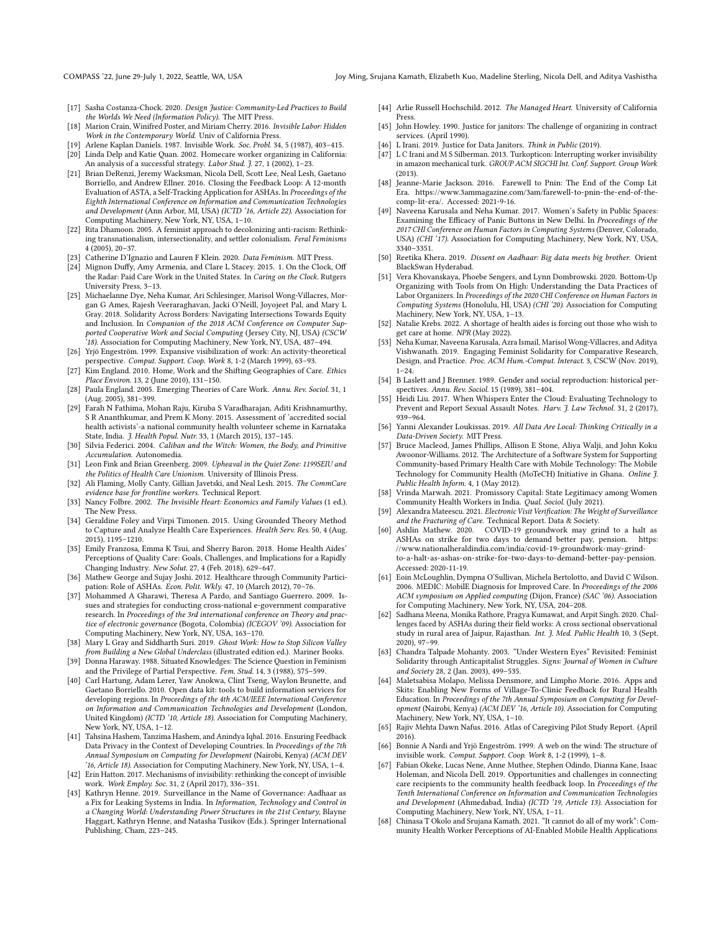- <span id="page-11-3"></span>[17] Sasha Costanza-Chock. 2020. Design Justice: Community-Led Practices to Build the Worlds We Need (Information Policy). The MIT Press.
- <span id="page-11-4"></span>[18] Marion Crain, Winifred Poster, and Miriam Cherry. 2016. Invisible Labor: Hidden Work in the Contemporary World. Univ of California Press.
- <span id="page-11-5"></span>[19] Arlene Kaplan Daniels. 1987. Invisible Work. Soc. Probl. 34, 5 (1987), 403–415.
- <span id="page-11-47"></span>[20] Linda Delp and Katie Quan. 2002. Homecare worker organizing in California: An analysis of a successful strategy. Labor Stud. J. 27, 1 (2002), 1–23.
- <span id="page-11-43"></span>[21] Brian DeRenzi, Jeremy Wacksman, Nicola Dell, Scott Lee, Neal Lesh, Gaetano Borriello, and Andrew Ellner. 2016. Closing the Feedback Loop: A 12-month Evaluation of ASTA, a Self-Tracking Application for ASHAs. In Proceedings of the Eighth International Conference on Information and Communication Technologies and Development (Ann Arbor, MI, USA) (ICTD '16, Article 22). Association for Computing Machinery, New York, NY, USA, 1–10.
- <span id="page-11-29"></span>[22] Rita Dhamoon. 2005. A feminist approach to decolonizing anti-racism: Rethinking transnationalism, intersectionality, and settler colonialism. Feral Feminisms 4 (2005), 20–37.
- <span id="page-11-20"></span>[23] Catherine D'Ignazio and Lauren F Klein. 2020. Data Feminism. MIT Press.
- <span id="page-11-21"></span>[24] Mignon Duffy, Amy Armenia, and Clare L Stacey. 2015. 1. On the Clock, Off the Radar: Paid Care Work in the United States. In Caring on the Clock. Rutgers University Press, 3–13.
- <span id="page-11-31"></span>[25] Michaelanne Dye, Neha Kumar, Ari Schlesinger, Marisol Wong-Villacres, Morgan G Ames, Rajesh Veeraraghavan, Jacki O'Neill, Joyojeet Pal, and Mary L Gray. 2018. Solidarity Across Borders: Navigating Intersections Towards Equity and Inclusion. In Companion of the 2018 ACM Conference on Computer Supported Cooperative Work and Social Computing (Jersey City, NJ, USA) (CSCW '18). Association for Computing Machinery, New York, NY, USA, 487–494.
- <span id="page-11-26"></span>[26] Yrjö Engeström. 1999. Expansive visibilization of work: An activity-theoretical perspective. Comput. Support. Coop. Work 8, 1-2 (March 1999), 63–93.
- <span id="page-11-19"></span>[27] Kim England. 2010. Home, Work and the Shifting Geographies of Care. Ethics Place Environ. 13, 2 (June 2010), 131–150.
- <span id="page-11-18"></span>[28] Paula England. 2005. Emerging Theories of Care Work. Annu. Rev. Sociol. 31, 1 (Aug. 2005), 381–399.
- <span id="page-11-16"></span>[29] Farah N Fathima, Mohan Raju, Kiruba S Varadharajan, Aditi Krishnamurthy, S R Ananthkumar, and Prem K Mony. 2015. Assessment of 'accredited social health activists'-a national community health volunteer scheme in Karnataka State, India. J. Health Popul. Nutr. 33, 1 (March 2015), 137-145.
- <span id="page-11-11"></span>[30] Silvia Federici. 2004. *Caliban and the Witch: Women, the Body, and Primitive* Accumulation. Autonomedia.
- <span id="page-11-14"></span>[31] Leon Fink and Brian Greenberg. 2009. Upheaval in the Quiet Zone: 1199SEIU and the Politics of Health Care Unionism. University of Illinois Press.
- <span id="page-11-38"></span>[32] Ali Flaming, Molly Canty, Gillian Javetski, and Neal Lesh. 2015. The CommCare evidence base for frontline workers. Technical Report.
- <span id="page-11-23"></span>[33] Nancy Folbre. 2002. The Invisible Heart: Economics and Family Values (1 ed.). The New Press.
- <span id="page-11-32"></span>[34] Geraldine Foley and Virpi Timonen. 2015. Using Grounded Theory Method to Capture and Analyze Health Care Experiences. Health Serv. Res. 50, 4 (Aug. 2015), 1195–1210.
- <span id="page-11-13"></span>[35] Emily Franzosa, Emma K Tsui, and Sherry Baron. 2018. Home Health Aides' Perceptions of Quality Care: Goals, Challenges, and Implications for a Rapidly Changing Industry. New Solut. 27, 4 (Feb. 2018), 629–647.
- <span id="page-11-0"></span>[36] Mathew George and Sujay Joshi. 2012. Healthcare through Community Participation: Role of ASHAs. Econ. Polit. Wkly. 47, 10 (March 2012), 70–76.
- <span id="page-11-28"></span>[37] Mohammed A Gharawi, Theresa A Pardo, and Santiago Guerrero. 2009. Issues and strategies for conducting cross-national e-government comparative research. In Proceedings of the 3rd international conference on Theory and practice of electronic governance (Bogota, Colombia) (ICEGOV '09). Association for Computing Machinery, New York, NY, USA, 163–170.
- <span id="page-11-24"></span>[38] Mary L Gray and Siddharth Suri. 2019. Ghost Work: How to Stop Silicon Valley from Building a New Global Underclass (illustrated edition ed.). Mariner Books.
- <span id="page-11-30"></span>[39] Donna Haraway. 1988. Situated Knowledges: The Science Question in Feminism and the Privilege of Partial Perspective. Fem. Stud. 14, 3 (1988), 575–599.
- <span id="page-11-39"></span>[40] Carl Hartung, Adam Lerer, Yaw Anokwa, Clint Tseng, Waylon Brunette, and Gaetano Borriello. 2010. Open data kit: tools to build information services for developing regions. In Proceedings of the 4th ACM/IEEE International Conference on Information and Communication Technologies and Development (London, United Kingdom) (ICTD '10, Article 18). Association for Computing Machinery, New York, NY, USA, 1–12.
- <span id="page-11-35"></span>[41] Tahsina Hashem, Tanzima Hashem, and Anindya Iqbal. 2016. Ensuring Feedback Data Privacy in the Context of Developing Countries. In Proceedings of the 7th Annual Symposium on Computing for Development (Nairobi, Kenya) (ACM DEV '16, Article 18). Association for Computing Machinery, New York, NY, USA, 1–4.
- <span id="page-11-33"></span>[42] Erin Hatton. 2017. Mechanisms of invisibility: rethinking the concept of invisible work. Work Employ. Soc. 31, 2 (April 2017), 336–351.
- <span id="page-11-50"></span>[43] Kathryn Henne. 2019. Surveillance in the Name of Governance: Aadhaar as a Fix for Leaking Systems in India. In Information, Technology and Control in a Changing World: Understanding Power Structures in the 21st Century, Blayne Haggart, Kathryn Henne, and Natasha Tusikov (Eds.). Springer International Publishing, Cham, 223–245.
- <span id="page-11-12"></span>[44] Arlie Russell Hochschild. 2012. The Managed Heart. University of California Press.
- <span id="page-11-48"></span>[45] John Howley. 1990. Justice for janitors: The challenge of organizing in contract services. (April 1990).
- <span id="page-11-25"></span>[46] L Irani. 2019. Justice for Data Janitors. Think in Public (2019).
- <span id="page-11-27"></span>[47] L C Irani and M S Silberman. 2013. Turkopticon: Interrupting worker invisibility in amazon mechanical turk. GROUP ACM SIGCHI Int. Conf. Support. Group Work (2013).
- <span id="page-11-9"></span>[48] Jeanne-Marie Jackson. 2016. Farewell to Pnin: The End of the Comp Lit Era. [https://www.3ammagazine.com/3am/farewell-to-pnin-the-end-of-the](https://www.3ammagazine.com/3am/farewell-to-pnin-the-end-of-the-comp-lit-era/)[comp-lit-era/.](https://www.3ammagazine.com/3am/farewell-to-pnin-the-end-of-the-comp-lit-era/) Accessed: 2021-9-16.
- <span id="page-11-36"></span>[49] Naveena Karusala and Neha Kumar. 2017. Women's Safety in Public Spaces: Examining the Efficacy of Panic Buttons in New Delhi. In Proceedings of the 2017 CHI Conference on Human Factors in Computing Systems (Denver, Colorado, USA) (CHI '17). Association for Computing Machinery, New York, NY, USA, 3340–3351.
- <span id="page-11-51"></span>[50] Reetika Khera. 2019. Dissent on Aadhaar: Big data meets big brother. Orient BlackSwan Hyderabad.
- <span id="page-11-46"></span>[51] Vera Khovanskaya, Phoebe Sengers, and Lynn Dombrowski. 2020. Bottom-Up Organizing with Tools from On High: Understanding the Data Practices of Labor Organizers. In Proceedings of the 2020 CHI Conference on Human Factors in Computing Systems (Honolulu, HI, USA) (CHI '20). Association for Computing Machinery, New York, NY, USA, 1–13.
- <span id="page-11-49"></span>[52] Natalie Krebs. 2022. A shortage of health aides is forcing out those who wish to get care at home. NPR (May 2022).
- <span id="page-11-10"></span>[53] Neha Kumar, Naveena Karusala, Azra Ismail, Marisol Wong-Villacres, and Aditya Vishwanath. 2019. Engaging Feminist Solidarity for Comparative Research, Design, and Practice. Proc. ACM Hum.-Comput. Interact. 3, CSCW (Nov. 2019),  $1 - 24$ .
- <span id="page-11-22"></span>[54] B Laslett and J Brenner. 1989. Gender and social reproduction: historical perspectives. Annu. Rev. Sociol. 15 (1989), 381–404.
- <span id="page-11-37"></span>[55] Heidi Liu. 2017. When Whispers Enter the Cloud: Evaluating Technology to Prevent and Report Sexual Assault Notes. Harv. J. Law Technol. 31, 2 (2017), 939–964.
- <span id="page-11-45"></span>[56] Yanni Alexander Loukissas. 2019. All Data Are Local: Thinking Critically in a Data-Driven Society. MIT Press.
- <span id="page-11-41"></span>[57] Bruce Macleod, James Phillips, Allison E Stone, Aliya Walji, and John Koku Awoonor-Williams. 2012. The Architecture of a Software System for Supporting Community-based Primary Health Care with Mobile Technology: The Mobile Technology for Community Health (MoTeCH) Initiative in Ghana. Online J. Public Health Inform. 4, 1 (May 2012).
- <span id="page-11-15"></span>[58] Vrinda Marwah. 2021. Promissory Capital: State Legitimacy among Women Community Health Workers in India. Qual. Sociol. (July 2021).
- <span id="page-11-1"></span>[59] Alexandra Mateescu. 2021. Electronic Visit Verification: The Weight of Surveillance and the Fracturing of Care. Technical Report. Data & Society.
- <span id="page-11-34"></span>[60] Ashlin Mathew. 2020. COVID-19 groundwork may grind to a halt as ASHAs on strike for two days to demand better pay, pension. [https:](https://www.nationalheraldindia.com/india/covid-19-groundwork-may-grind-to-a-halt-as-ashas-on-strike-for-two-days-to-demand-better-pay-pension) [//www.nationalheraldindia.com/india/covid-19-groundwork-may-grind](https://www.nationalheraldindia.com/india/covid-19-groundwork-may-grind-to-a-halt-as-ashas-on-strike-for-two-days-to-demand-better-pay-pension)[to-a-halt-as-ashas-on-strike-for-two-days-to-demand-better-pay-pension.](https://www.nationalheraldindia.com/india/covid-19-groundwork-may-grind-to-a-halt-as-ashas-on-strike-for-two-days-to-demand-better-pay-pension) Accessed: 2020-11-19.
- <span id="page-11-40"></span>[61] Eoin McLoughlin, Dympna O'Sullivan, Michela Bertolotto, and David C Wilson. 2006. MEDIC: MobilE Diagnosis for Improved Care. In Proceedings of the 2006 ACM symposium on Applied computing (Dijon, France) (SAC '06). Association for Computing Machinery, New York, NY, USA, 204–208.
- <span id="page-11-17"></span>[62] Sadhana Meena, Monika Rathore, Pragya Kumawat, and Arpit Singh. 2020. Challenges faced by ASHAs during their field works: A cross sectional observational study in rural area of Jaipur, Rajasthan. Int. J. Med. Public Health 10, 3 (Sept. 2020), 97–99.
- <span id="page-11-8"></span>[63] Chandra Talpade Mohanty. 2003. "Under Western Eyes" Revisited: Feminist Solidarity through Anticapitalist Struggles. Signs: Journal of Women in Culture and Society 28, 2 (Jan. 2003), 499–535.
- <span id="page-11-44"></span>[64] Maletsabisa Molapo, Melissa Densmore, and Limpho Morie. 2016. Apps and Skits: Enabling New Forms of Village-To-Clinic Feedback for Rural Health Education. In Proceedings of the 7th Annual Symposium on Computing for Development (Nairobi, Kenya) (ACM DEV '16, Article 10). Association for Computing Machinery, New York, NY, USA, 1–10.
- <span id="page-11-7"></span>[65] Rajiv Mehta Dawn Nafus. 2016. Atlas of Caregiving Pilot Study Report. (April 2016).
- <span id="page-11-6"></span>[66] Bonnie A Nardi and Yrjö Engeström. 1999. A web on the wind: The structure of invisible work. Comput. Support. Coop. Work 8, 1-2 (1999), 1–8.
- <span id="page-11-42"></span>[67] Fabian Okeke, Lucas Nene, Anne Muthee, Stephen Odindo, Dianna Kane, Isaac Holeman, and Nicola Dell. 2019. Opportunities and challenges in connecting care recipients to the community health feedback loop. In Proceedings of the Tenth International Conference on Information and Communication Technologies and Development (Ahmedabad, India) (ICTD '19, Article 13). Association for Computing Machinery, New York, NY, USA, 1–11.
- <span id="page-11-2"></span>[68] Chinasa T Okolo and Srujana Kamath. 2021. "It cannot do all of my work": Community Health Worker Perceptions of AI-Enabled Mobile Health Applications